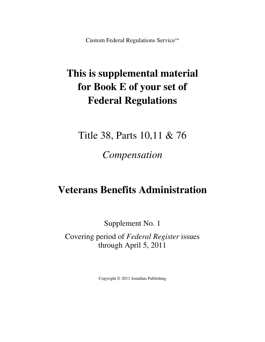Custom Federal Regulations Service™

# **This is supplemental material for Book E of your set of Federal Regulations**

Title 38, Parts 10,11 & 76

*Compensation*

# **Veterans Benefits Administration**

Supplement No. 1

Covering period of *Federal Register* issues through April 5, 2011

Copyright © 2011 Jonathan Publishing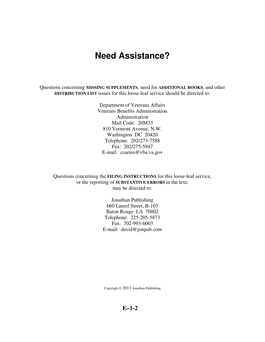# **Need Assistance?**

Questions concerning **MISSING SUPPLEMENTS**, need for **ADDITIONAL BOOKS**, and other **DISTRIBUTION LIST** issues for this loose-leaf service should be directed to:

> Department of Veterans Affairs Veterans Benefits Administration Administration Mail Code: 20M33 810 Vermont Avenue, N.W. Washington DC 20420 Telephone: 202/273-7588 Fax: 202/275-5947 E-mail: coarms@vba.va.gov

Questions concerning the **FILING INSTRUCTIONS** for this loose-leaf service, or the reporting of **SUBSTANTIVE ERRORS** in the text, may be directed to:

> Jonathan Publishing 660 Laurel Street, B-103 Baton Rouge LA 70802 Telephone: 225-205-5873 Fax: 702-993-6003 E-mail: david@jonpub.com

Copyright © 2011 Jonathan Publishing

**E–1-2**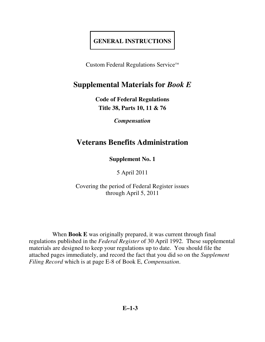# **GENERAL INSTRUCTIONS**

Custom Federal Regulations Service™

# **Supplemental Materials for** *Book E*

**Code of Federal Regulations Title 38, Parts 10, 11 & 76** 

*Compensation* 

# **Veterans Benefits Administration**

**Supplement No. 1** 

5 April 2011

Covering the period of Federal Register issues through April 5, 2011

 When **Book E** was originally prepared, it was current through final regulations published in the *Federal Register* of 30 April 1992. These supplemental materials are designed to keep your regulations up to date. You should file the attached pages immediately, and record the fact that you did so on the *Supplement Filing Record* which is at page E-8 of Book E, *Compensation*.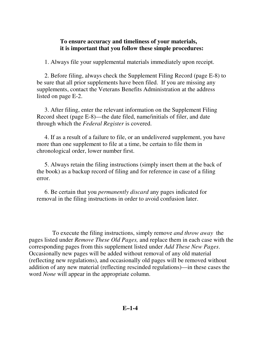## **To ensure accuracy and timeliness of your materials, it is important that you follow these simple procedures:**

1. Always file your supplemental materials immediately upon receipt.

 2. Before filing, always check the Supplement Filing Record (page E-8) to be sure that all prior supplements have been filed. If you are missing any supplements, contact the Veterans Benefits Administration at the address listed on page E-2.

 3. After filing, enter the relevant information on the Supplement Filing Record sheet (page E-8)—the date filed, name/initials of filer, and date through which the *Federal Register* is covered.

 4. If as a result of a failure to file, or an undelivered supplement, you have more than one supplement to file at a time, be certain to file them in chronological order, lower number first.

 5. Always retain the filing instructions (simply insert them at the back of the book) as a backup record of filing and for reference in case of a filing error.

 6. Be certain that you *permanently discard* any pages indicated for removal in the filing instructions in order to avoid confusion later.

 To execute the filing instructions, simply remove *and throw away* the pages listed under *Remove These Old Pages,* and replace them in each case with the corresponding pages from this supplement listed under *Add These New Pages*. Occasionally new pages will be added without removal of any old material (reflecting new regulations), and occasionally old pages will be removed without addition of any new material (reflecting rescinded regulations)—in these cases the word *None* will appear in the appropriate column.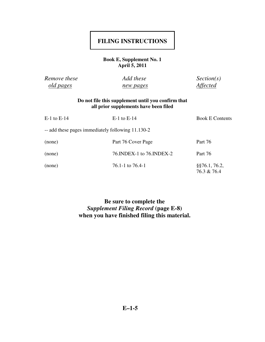# **FILING INSTRUCTIONS**

### **Book E, Supplement No. 1 April 5, 2011**

| Remove these     | Add these        | Section(s)      |
|------------------|------------------|-----------------|
| <u>old pages</u> | <u>new pages</u> | <i>Affected</i> |

### **Do not file this supplement until you confirm that all prior supplements have been filed**

| $E-1$ to $E-14$                                   | $E-1$ to $E-14$            | <b>Book E Contents</b>            |
|---------------------------------------------------|----------------------------|-----------------------------------|
| -- add these pages immediately following 11.130-2 |                            |                                   |
| (none)                                            | Part 76 Cover Page         | Part 76                           |
| (none)                                            | 76. INDEX-1 to 76. INDEX-2 | Part 76                           |
| (none)                                            | 76.1-1 to 76.4-1           | $\S$ \$76.1, 76.2,<br>76.3 & 76.4 |

### **Be sure to complete the**  *Supplement Filing Record* **(page E-8) when you have finished filing this material.**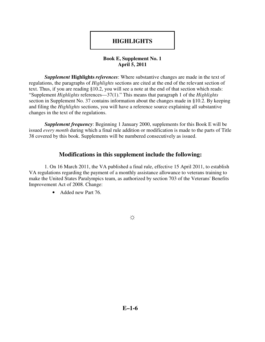# **HIGHLIGHTS**

### **Book E, Supplement No. 1 April 5, 2011**

*Supplement* **Highlights** *references*: Where substantive changes are made in the text of regulations, the paragraphs of *Highlights* sections are cited at the end of the relevant section of text. Thus, if you are reading §10.2, you will see a note at the end of that section which reads: "Supplement *Highlights* references—37(1)." This means that paragraph 1 of the *Highlights* section in Supplement No. 37 contains information about the changes made in §10.2. By keeping and filing the *Highlights* sections, you will have a reference source explaining all substantive changes in the text of the regulations.

 *Supplement frequency*: Beginning 1 January 2000, supplements for this Book E will be issued *every month* during which a final rule addition or modification is made to the parts of Title 38 covered by this book. Supplements will be numbered consecutively as issued.

### **Modifications in this supplement include the following:**

 1. On 16 March 2011, the VA published a final rule, effective 15 April 2011, to establish VA regulations regarding the payment of a monthly assistance allowance to veterans training to make the United States Paralympics team, as authorized by section 703 of the Veterans' Benefits Improvement Act of 2008. Change:

• Added new Part 76.

☼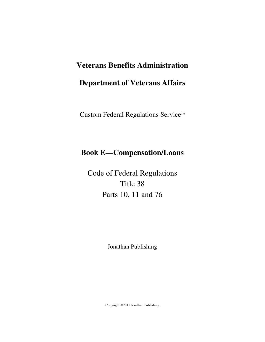# **Veterans Benefits Administration**

# **Department of Veterans Affairs**

Custom Federal Regulations Service™

# **Book E—Compensation/Loans**

Code of Federal Regulations Title 38 Parts 10, 11 and 76

Jonathan Publishing

Copyright ©2011 Jonathan Publishing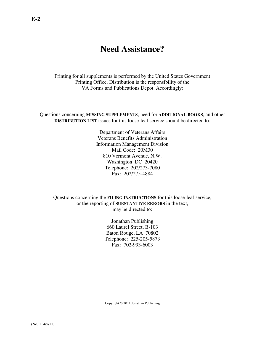# **Need Assistance?**

Printing for all supplements is performed by the United States Government Printing Office. Distribution is the responsibility of the VA Forms and Publications Depot. Accordingly:

Questions concerning **MISSING SUPPLEMENTS**, need for **ADDITIONAL BOOKS**, and other **DISTRIBUTION LIST** issues for this loose-leaf service should be directed to:

> Department of Veterans Affairs Veterans Benefits Administration Information Management Division Mail Code: 20M30 810 Vermont Avenue, N.W. Washington DC 20420 Telephone: 202/273-7080 Fax: 202/275-4884

Questions concerning the **FILING INSTRUCTIONS** for this loose-leaf service, or the reporting of **SUBSTANTIVE ERRORS** in the text, may be directed to:

> Jonathan Publishing 660 Laurel Street, B-103 Baton Rouge, LA 70802 Telephone: 225-205-5873 Fax: 702-993-6003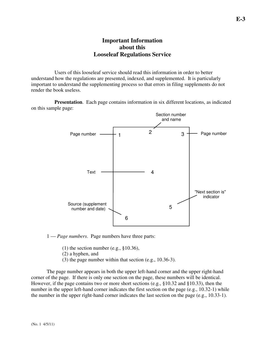### **Important Information about this Looseleaf Regulations Service**

 Users of this looseleaf service should read this information in order to better understand how the regulations are presented, indexed, and supplemented. It is particularly important to understand the supplementing process so that errors in filing supplements do not render the book useless.

**Presentation**. Each page contains information in six different locations, as indicated on this sample page:



#### 1 — *Page numbers*. Page numbers have three parts:

- (1) the section number (e.g.,  $§10.36$ ),
- (2) a hyphen, and
- (3) the page number within that section (e.g., 10.36-3).

 The page number appears in both the upper left-hand corner and the upper right-hand corner of the page. If there is only one section on the page, these numbers will be identical. However, if the page contains two or more short sections (e.g., §10.32 and §10.33), then the number in the upper left-hand corner indicates the first section on the page (e.g., 10.32-1) while the number in the upper right-hand corner indicates the last section on the page (e.g., 10.33-1).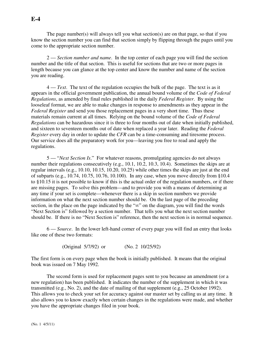The page number(s) will always tell you what section(s) are on that page, so that if you know the section number you can find that section simply by flipping through the pages until you come to the appropriate section number.

 2 — *Section number and name*. In the top center of each page you will find the section number and the title of that section. This is useful for sections that are two or more pages in length because you can glance at the top center and know the number and name of the section you are reading.

 4 — *Text*. The text of the regulation occupies the bulk of the page. The text is as it appears in the official government publication, the annual bound volume of the *Code of Federal Regulations*, as amended by final rules published in the daily *Federal Register*. By using the looseleaf format, we are able to make changes in response to amendments as they appear in the *Federal Register* and send you those replacement pages in a very short time. Thus these materials remain current at all times. Relying on the bound volume of the *Code of Federal Regulations* can be hazardous since it is three to four months out of date when initially published, and sixteen to seventeen months out of date when replaced a year later. Reading the *Federal Register* every day in order to update the *CFR* can be a time-consuming and tiresome process. Our service does all the preparatory work for you—leaving you free to read and apply the regulations.

 5 — "*Next Section Is*." For whatever reasons, promulgating agencies do not always number their regulations consecutively (e.g., 10.1, 10.2, 10.3, 10.4). Sometimes the skips are at regular intervals (e.g., 10.10, 10.15, 10.20, 10.25) while other times the skips are just at the end of subparts (e.g., 10.74, 10.75, 10.76, 10.100). In any case, when you move directly from §10.4 to §10.15 it is not possible to know if this is the actual order of the regulation numbers, or if there are missing pages. To solve this problem—and to provide you with a means of determining at any time if your set is complete—whenever there is a skip in section numbers we provide information on what the next section number should be. On the last page of the preceding section, in the place on the page indicated by the "∞" on the diagram, you will find the words "Next Section is" followed by a section number. That tells you what the next section number should be. If there is no "Next Section is" reference, then the next section is in normal sequence.

 6 — *Source*. In the lower left-hand corner of every page you will find an entry that looks like one of these two formats:

(Original 5/7/92) or (No. 2 10/25/92)

The first form is on every page when the book is initially published. It means that the original book was issued on 7 May 1992.

 The second form is used for replacement pages sent to you because an amendment (or a new regulation) has been published. It indicates the number of the supplement in which it was transmitted (e.g., No. 2), and the date of mailing of that supplement (e.g., 25 October 1992). This allows you to check your set for accuracy against our master set by calling us at any time. It also allows you to know exactly when certain changes in the regulations were made, and whether you have the appropriate changes filed in your book.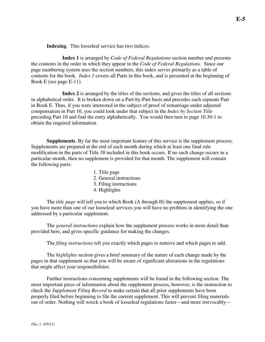**Indexing**. This looseleaf service has two indices.

 **Index 1** is arranged by *Code of Federal Regulations* section number and presents the contents in the order in which they appear in the *Code of Federal Regulations*. Since our page numbering system uses the section numbers, this index serves primarily as a table of contents for the book. *Index 1* covers all Parts in this book, and is presented at the beginning of Book E (see page E-11).

 **Index 2** is arranged by the titles of the sections, and gives the titles of all sections in alphabetical order. It is broken down on a Part-by-Part basis and precedes each separate Part in Book E. Thus, if you were interested in the subject of proof of remarriage under adjusted compensation in Part 10, you could look under that subject in the *Index by Section Title* preceding Part 10 and find the entry alphabetically. You would then turn to page 10.30-1 to obtain the required information.

**Supplements**. By far the most important feature of this service is the supplement process. Supplements are prepared at the end of each month during which at least one final rule modification in the parts of Title 38 included in this book occurs. If no such change occurs in a particular month, then no supplement is provided for that month. The supplement will contain the following parts:

- 1. Title page
- 2. General instructions
- 3. Filing instructions
- 4. Highlights

 The *title page* will tell you to which Book (A through H) the supplement applies, so if you have more than one of our looseleaf services you will have no problem in identifying the one addressed by a particular supplement.

 The *general instructions* explain how the supplement process works in more detail than provided here, and gives specific guidance for making the changes.

The *filing instructions* tell you exactly which pages to remove and which pages to add.

 The *highlights* section gives a brief summary of the nature of each change made by the pages in that supplement so that you will be aware of significant alterations in the regulations that might affect your responsibilities.

 Further instructions concerning supplements will be found in the following section. The most important piece of information about the supplement process, however, is the instruction to check the *Supplement Filing Record* to make certain that all prior supplements have been properly filed before beginning to file the current supplement. This will prevent filing materials out of order. Nothing will wreck a book of looseleaf regulations faster—and more irrevocably—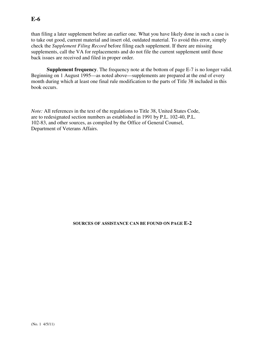### **E-6**

than filing a later supplement before an earlier one. What you have likely done in such a case is to take out good, current material and insert old, outdated material. To avoid this error, simply check the *Supplement Filing Record* before filing each supplement. If there are missing supplements, call the VA for replacements and do not file the current supplement until those back issues are received and filed in proper order.

**Supplement frequency**. The frequency note at the bottom of page E-7 is no longer valid. Beginning on 1 August 1995—as noted above—supplements are prepared at the end of every month during which at least one final rule modification to the parts of Title 38 included in this book occurs.

*Note:* All references in the text of the regulations to Title 38, United States Code, are to redesignated section numbers as established in 1991 by P.L. 102-40, P.L. 102-83, and other sources, as compiled by the Office of General Counsel, Department of Veterans Affairs.

#### **SOURCES OF ASSISTANCE CAN BE FOUND ON PAGE E-2**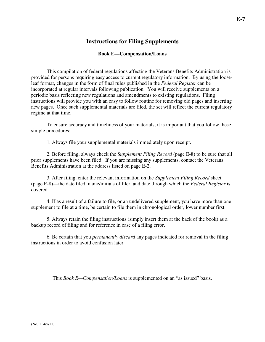### **Instructions for Filing Supplements**

### **Book E—Compensation/Loans**

 This compilation of federal regulations affecting the Veterans Benefits Administration is provided for persons requiring easy access to current regulatory information. By using the looseleaf format, changes in the form of final rules published in the *Federal Register* can be incorporated at regular intervals following publication. You will receive supplements on a periodic basis reflecting new regulations and amendments to existing regulations. Filing instructions will provide you with an easy to follow routine for removing old pages and inserting new pages. Once such supplemental materials are filed, the set will reflect the current regulatory regime at that time.

 To ensure accuracy and timeliness of your materials, it is important that you follow these simple procedures:

1. Always file your supplemental materials immediately upon receipt.

 2. Before filing, always check the *Supplement Filing Record* (page E-8) to be sure that all prior supplements have been filed. If you are missing any supplements, contact the Veterans Benefits Administration at the address listed on page E-2.

 3. After filing, enter the relevant information on the *Supplement Filing Record* sheet (page E-8)—the date filed, name/initials of filer, and date through which the *Federal Register* is covered.

 4. If as a result of a failure to file, or an undelivered supplement, you have more than one supplement to file at a time, be certain to file them in chronological order, lower number first.

 5. Always retain the filing instructions (simply insert them at the back of the book) as a backup record of filing and for reference in case of a filing error.

 6. Be certain that you *permanently discard* any pages indicated for removal in the filing instructions in order to avoid confusion later.

This *Book E—Compensation/Loans* is supplemented on an "as issued" basis.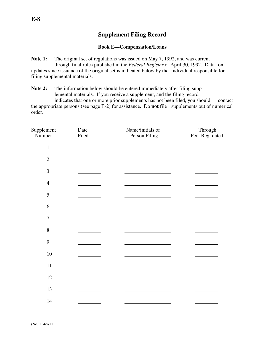### **Supplement Filing Record**

#### **Book E—Compensation/Loans**

**Note 1:** The original set of regulations was issued on May 7, 1992, and was current through final rules published in the *Federal Register* of April 30, 1992. Data on updates since issuance of the original set is indicated below by the individual responsible for filing supplemental materials.

**Note 2:** The information below should be entered immediately after filing supp lemental materials. If you receive a supplement, and the filing record

 indicates that one or more prior supplements has not been filed, you should contact the appropriate persons (see page E-2) for assistance. Do **not** file supplements out of numerical order.

| Supplement<br>Number | Date<br>Filed | Name/initials of<br>Person Filing | Through<br>Fed. Reg. dated |
|----------------------|---------------|-----------------------------------|----------------------------|
| $\mathbf{1}$         |               |                                   |                            |
| $\overline{2}$       |               |                                   |                            |
| 3                    |               |                                   |                            |
| $\overline{4}$       |               |                                   |                            |
| 5                    |               |                                   |                            |
| 6                    |               |                                   |                            |
| $\boldsymbol{7}$     |               |                                   |                            |
| 8                    |               |                                   |                            |
| 9                    |               |                                   |                            |
| $10\,$               |               |                                   |                            |
| $11\,$               |               |                                   |                            |
| 12                   |               |                                   |                            |
| 13                   |               |                                   |                            |
| 14                   |               |                                   |                            |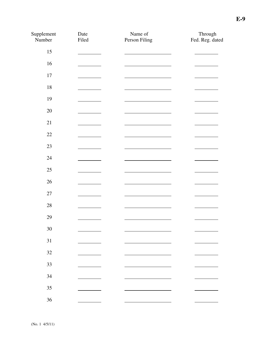| Supplement<br>Number | Date<br>Filed        | Name of<br>Person Filing                     | Through<br>Fed. Reg. dated |
|----------------------|----------------------|----------------------------------------------|----------------------------|
| 15                   |                      |                                              |                            |
| 16                   |                      |                                              |                            |
| $17\,$               |                      |                                              |                            |
| 18                   |                      |                                              |                            |
| 19                   |                      |                                              |                            |
| $20\,$               |                      |                                              |                            |
| 21                   |                      |                                              |                            |
| $22\,$               |                      |                                              |                            |
| $23\,$               | <u>and the state</u> | <u>and the companion of the companion of</u> |                            |
| 24                   |                      |                                              |                            |
| $25\,$               |                      |                                              |                            |
| $26\,$               |                      |                                              |                            |
| $27\,$               |                      |                                              |                            |
| $28\,$               |                      |                                              |                            |
| 29                   |                      |                                              |                            |
| $30\,$               |                      |                                              |                            |
| 31                   |                      |                                              |                            |
| $32\,$               |                      |                                              |                            |
| 33                   |                      |                                              |                            |
| 34                   |                      |                                              |                            |
| $35\,$               |                      |                                              |                            |
| 36                   |                      |                                              |                            |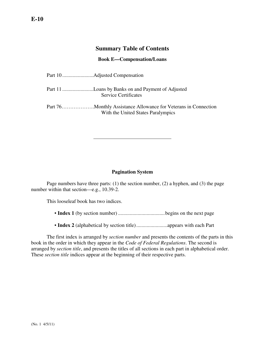### **Summary Table of Contents**

#### **Book E—Compensation/Loans**

| <b>Service Certificates</b>        |
|------------------------------------|
| With the United States Paralympics |

### **Pagination System**

 Page numbers have three parts: (1) the section number, (2) a hyphen, and (3) the page number within that section—e.g., 10.39-2.

This looseleaf book has two indices.

- **Index 1** (by section number) ....................................begins on the next page
- **Index 2** (alphabetical by section title)........................appears with each Part

 The first index is arranged by *section number* and presents the contents of the parts in this book in the order in which they appear in the *Code of Federal Regulations*. The second is arranged by *section title*, and presents the titles of all sections in each part in alphabetical order. These *section title* indices appear at the beginning of their respective parts.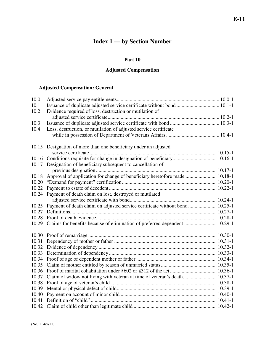# **Index 1 — by Section Number**

### **Part 10**

### **Adjusted Compensation**

### **Adjusted Compensation: General**

| 10.0  |                                                                             |  |
|-------|-----------------------------------------------------------------------------|--|
| 10.1  | Issuance of duplicate adjusted service certificate without bond  10.1-1     |  |
| 10.2  | Evidence required of loss, destruction or mutilation of                     |  |
|       |                                                                             |  |
| 10.3  |                                                                             |  |
| 10.4  | Loss, destruction, or mutilation of adjusted service certificate            |  |
|       |                                                                             |  |
|       |                                                                             |  |
|       | 10.15 Designation of more than one beneficiary under an adjusted            |  |
|       |                                                                             |  |
|       | 10.16 Conditions requisite for change in designation of beneficiary 10.16-1 |  |
|       | 10.17 Designation of beneficiary subsequent to cancellation of              |  |
|       |                                                                             |  |
| 10.18 | Approval of application for change of beneficiary heretofore made  10.18-1  |  |
| 10.20 |                                                                             |  |
| 10.22 |                                                                             |  |
| 10.24 | Payment of death claim on lost, destroyed or mutilated                      |  |
|       |                                                                             |  |
| 10.25 | Payment of death claim on adjusted service certificate without bond 10.25-1 |  |
| 10.27 |                                                                             |  |
| 10.28 |                                                                             |  |
| 10.29 | Claims for benefits because of elimination of preferred dependent  10.29-1  |  |
|       |                                                                             |  |
|       |                                                                             |  |
| 10.31 |                                                                             |  |
| 10.32 |                                                                             |  |
| 10.33 |                                                                             |  |
| 10.34 |                                                                             |  |
| 10.35 |                                                                             |  |
| 10.36 |                                                                             |  |
| 10.37 | Claim of widow not living with veteran at time of veteran's death 10.37-1   |  |
| 10.38 |                                                                             |  |
| 10.39 |                                                                             |  |
| 10.40 |                                                                             |  |
| 10.41 |                                                                             |  |
|       |                                                                             |  |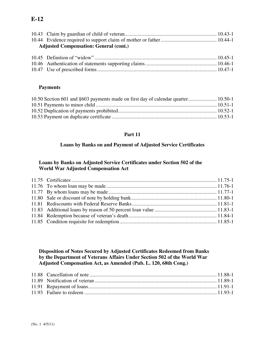## **E-12**

| <b>Adjusted Compensation: General (cont.)</b> |  |  |
|-----------------------------------------------|--|--|

### **Payments**

| 10.50 Section 601 and §603 payments made on first day of calendar quarter 10.50-1 |  |
|-----------------------------------------------------------------------------------|--|
|                                                                                   |  |
|                                                                                   |  |
|                                                                                   |  |

### **Part 11**

### **Loans by Banks on and Payment of Adjusted Service Certificates**

### **Loans by Banks on Adjusted Service Certificates under Section 502 of the World War Adjusted Compensation Act**

#### **Disposition of Notes Secured by Adjusted Certificates Redeemed from Banks by the Department of Veterans Affairs Under Section 502 of the World War Adjusted Compensation Act, as Amended (Pub. L. 120, 68th Cong.)**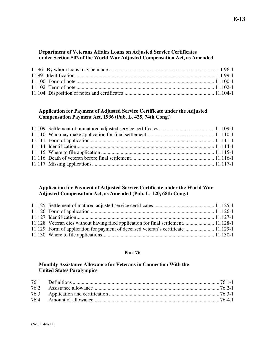#### **Department of Veterans Affairs Loans on Adjusted Service Certificates under Section 502 of the World War Adjusted Compensation Act, as Amended**

#### **Application for Payment of Adjusted Service Certificate under the Adjusted Compensation Payment Act, 1936 (Pub. L. 425, 74th Cong.)**

### **Application for Payment of Adjusted Service Certificate under the World War Adjusted Compensation Act, as Amended (Pub. L. 120, 68th Cong.)**

| 11.128 Veteran dies without having filed application for final settlement 11.128-1 |  |
|------------------------------------------------------------------------------------|--|
| 11.129 Form of application for payment of deceased veteran's certificate 11.129-1  |  |
|                                                                                    |  |

#### **Part 76**

### **Monthly Assistance Allowance for Veterans in Connection With the United States Paralympics**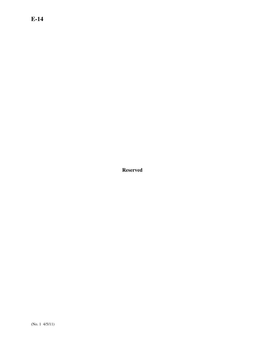## **E-14**

**Reserved**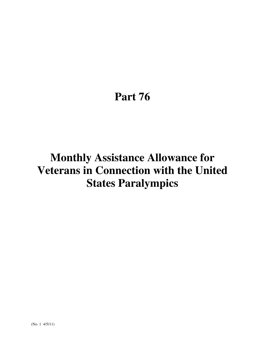# **Part 76**

# **Monthly Assistance Allowance for Veterans in Connection with the United States Paralympics**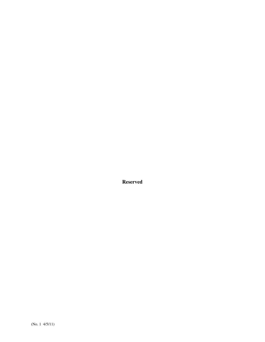**Reserved**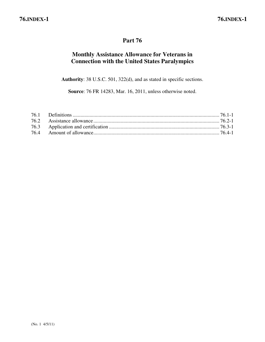## **Part 76**

## **Monthly Assistance Allowance for Veterans in Connection with the United States Paralympics**

**Authority**: 38 U.S.C. 501, 322(d), and as stated in specific sections.

**Source**: 76 FR 14283, Mar. 16, 2011, unless otherwise noted.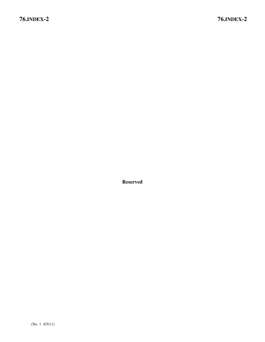**Reserved**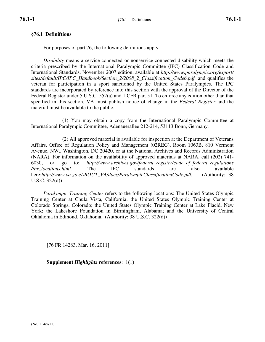### **§76.1 Definiftions**

For purposes of part 76, the following definitions apply:

*Disability* means a service-connected or nonservice-connected disability which meets the criteria prescribed by the International Paralympic Committee (IPC) Classification Code and International Standards, November 2007 edition, available at *http://www.paralympic.org/export/ sites/default/IPC/IPC\_Handbook/Section\_2/2008\_2\_Classification\_Code6.pdf,* and qualifies the veteran for participation in a sport sanctioned by the United States Paralympics. The IPC standards are incorporated by reference into this section with the approval of the Director of the Federal Register under 5 U.S.C. 552(a) and 1 CFR part 51. To enforce any edition other than that specified in this section, VA must publish notice of change in the *Federal Register* and the material must be available to the public.

(1) You may obtain a copy from the International Paralympic Committee at International Paralympic Committee, Adenauerallee 212-214, 53113 Bonn, Germany.

(2) All approved material is available for inspection at the Department of Veterans Affairs, Office of Regulation Policy and Management (02REG), Room 1063B, 810 Vermont Avenue, NW., Washington, DC 20420, or at the National Archives and Records Administration (NARA). For information on the availability of approved materials at NARA, call (202) 741- 6030, or go to: *http://www.archives.gov/federal\_register/code\_of\_federal\_regulations /ibr\_locations.html.* The IPC standards are also available here:*http://www.va.gov/ABOUT\_VA/docs/ParalympicClassificationCode.pdf.* (Authority: 38 U.S.C. 322(d))

*Paralympic Training Center* refers to the following locations: The United States Olympic Training Center at Chula Vista, California; the United States Olympic Training Center at Colorado Springs, Colorado; the United States Olympic Training Center at Lake Placid, New York; the Lakeshore Foundation in Birmingham, Alabama; and the University of Central Oklahoma in Edmond, Oklahoma. (Authority: 38 U.S.C. 322(d))

[76 FR 14283, Mar. 16, 2011]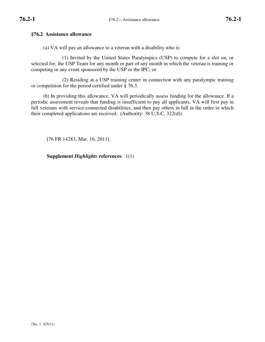### **§76.2 Assistance allowance**

(a) VA will pay an allowance to a veteran with a disability who is:

(1) Invited by the United States Paralympics (USP) to compete for a slot on, or selected for, the USP Team for any month or part of any month in which the veteran is training or competing in any event sponsored by the USP or the IPC; or

(2) Residing at a USP training center in connection with any paralympic training or competition for the period certified under § 76.3.

(b) In providing this allowance, VA will periodically assess funding for the allowance. If a periodic assessment reveals that funding is insufficient to pay all applicants, VA will first pay in full veterans with service-connected disabilities, and then pay others in full in the order in which their completed applications are received. (Authority: 38 U.S.C. 322(d))

[76 FR 14283, Mar. 16, 2011]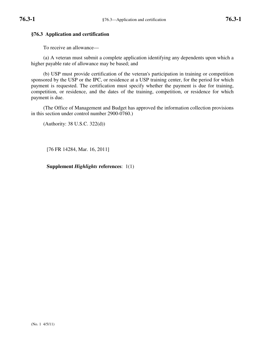### **§76.3 Application and certification**

To receive an allowance—

(a) A veteran must submit a complete application identifying any dependents upon which a higher payable rate of allowance may be based; and

(b) USP must provide certification of the veteran's participation in training or competition sponsored by the USP or the IPC, or residence at a USP training center, for the period for which payment is requested. The certification must specify whether the payment is due for training, competition, or residence, and the dates of the training, competition, or residence for which payment is due.

(The Office of Management and Budget has approved the information collection provisions in this section under control number 2900-0760.)

(Authority: 38 U.S.C. 322(d))

[76 FR 14284, Mar. 16, 2011]